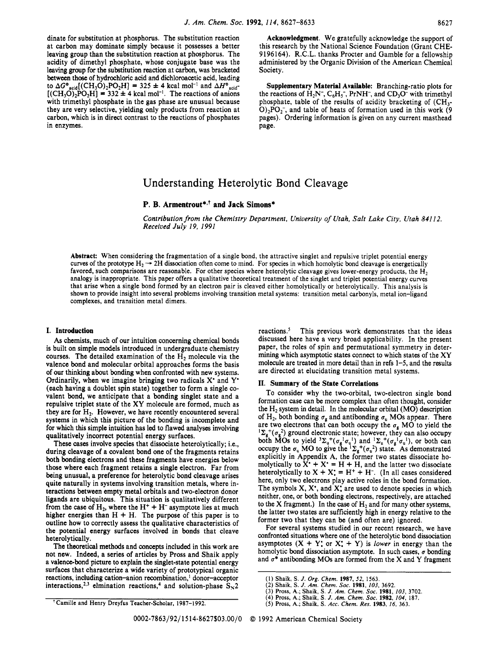dinate for substitution at phosphorus. The substitution reaction at carbon may dominate simply because it possesses a better leaving group than the substitution reaction at phosphorus. The acidity of dimethyl phosphate, whose conjugate base was the leaving group for the substitution reaction at carbon, was bracketed between those of hydrochloric acid and dichloroacetic acid, leading to  $\Delta G^{\circ}$ <sub>acid</sub>( $(CH_3O)_2PO_2H$ ] = 325  $\pm$  4 kcal mol<sup>-1</sup> and  $\Delta H^{\circ}$ <sub>acid</sub>- $[(CH<sub>3</sub>O)<sub>2</sub>PO<sub>2</sub>H] = 332 \pm 4$  kcal mol<sup>-1</sup>. The reactions of anions with trimethyl phosphate in the gas phase are unusual because they are very selective, yielding only products from reaction at carbon, which is in direct contrast to the reactions of phosphates in enzymes.

**Acknowledgment.** We gratefully acknowledge the support of this research by the National Science Foundation (Grant CHE-**9196164). R.C.L.** thanks Procter and Gamble for a fellowship administered by the Organic Division of the American Chemical Society.

**Supplementary Material Available:** Branching-ratio plots for the reactions of  $H_2N^-$ ,  $C_6H_5^-$ , PrNH<sup>-</sup>, and CD<sub>3</sub>O<sup>-</sup> with trimethyl phosphate, table of the results of acidity bracketing of  $(CH_3$ - $O<sub>2</sub>PO<sub>2</sub>$ , and table of heats of formation used in this work (9 pages). Ordering information is given **on** any current masthead page.

# Understanding Heterolytic Bond Cleavage

## **P. B. Armentrout\*,+ and Jack Simons\***

*Contribution from the Chemistry Department, University of Utah, Salt Lake City, Utah 841 12. Received July 19, 1991* 

**Abstract:** When considering the fragmentation of a single bond, the attractive singlet and repulsive triplet potential energy curves of the prototype  $H_2 \rightarrow 2H$  dissociation often come to mind. For species in which homolytic bond cleavage is energetically favored, such comparisons are reasonable. For other species where heterolytic cleavage gives lower-energy products, the  $H_2$ analogy is inappropriate. This paper offers a qualitative theoretical treatment of the singlet and triplet potential energy curves that arise when a single bond formed by an electron pair is cleaved either homolytically or heterolytically. This analysis is shown to provide insight into several problems involving transition metal systems: transition metal carbonyls, metal ion-ligand complexes, and transition metal dimers.

### **I. Introduction**

**As** chemists, much of our intuition concerning chemical bonds is built on simple models introduced in undergraduate chemistry courses. The detailed examination of the  $H_2$  molecule via the valence bond and molecular orbital approaches forms the basis of our thinking about bonding when confronted with new systems. Ordinarily, when we imagine bringing two radicals **X'** and **Y'**  (each having a doublet spin state) together to form a single covalent bond, we anticipate that a bonding singlet state and a repulsive triplet state of the XY molecule are formed, much as they are for  $H_2$ . However, we have recently encountered several systems in which this picture **of** the bonding is incomplete and for which this simple intuition has led to flawed analyses involving qualitatively incorrect potential energy surfaces.

These cases involve species that dissociate heterolytically; i.e., during cleavage of a covalent bond one of the fragments retains both bonding electrons and these fragments have energies below those where each fragment retains a single electron. Far from being unusual, a preference for heterolytic bond cleavage arises quite naturally in systems involving transition metals, where interactions between empty metal orbitals and two-electron donor ligands are ubiquitous. This situation is qualitatively different from the case of  $H_2$ , where the  $H^+ + H^-$  asymptote lies at much higher energies than  $H + H$ . The purpose of this paper is to outline how to correctly assess the qualitative characteristics of the potential energy surfaces involved in bonds that cleave heterolytically.

The theoretical methods and concepts included in this work are not new. Indeed, a series of articles by Pross and Shaik apply a valence-bond picture to explain the singlet-state potential energy surfaces that characterize a wide variety of prototypical organic reactions, including cation-anion recombination,<sup>1</sup> donor-acceptor interactions,<sup>2,3</sup> elmination reactions,<sup>4</sup> and solution-phase  $S_{N2}$  reactions.<sup>5</sup> This previous work demonstrates that the ideas discussed here have a very broad applicability. **In** the present paper, the roles of spin and permutational symmetry in determining which asymptotic states connect to which states of the **XY**  molecule are treated in more detail than in refs 1-5, and the results are directed at elucidating transition metal systems.

### **11. Summary of the State Correlations**

To consider why the two-orbital, two-electron single bond formation case can be more complex than often thought, consider the H2 system in detail. **In** the molecular orbital **(MO)** description of H<sub>2</sub>, both bonding  $\sigma_{g}$  and antibonding  $\sigma_{u}$  MOs appear. There are two electrons that can both occupy the  $\sigma_{g}$  MO to yield the  ${}^{1}\Sigma_{g}^{+}(\sigma_{g}^{2})$  ground electronic state; however, they can also occupy both MOs to yield  ${}^3\Sigma_u^+(\sigma_{\alpha}^1\sigma_u^1)$  and  ${}^1\Sigma_u^+(\sigma_{\alpha}^1\sigma_u^1)$ , or both can occupy the  $\sigma_u$  MO to give the  ${}^1\Sigma_g^+(\sigma_u^2)$  state. As demonstrated explicitly in Appendix A, the former two states dissociate homolytically to  $X^* + X^* = H + H$ , and the latter two dissociate heterolytically to  $X + X$ : =  $H^+ + H^-$ . (In all cases considered here, only two electrons play active roles in the bond formation. The symbols **X, X',** and **X:** are used to denote species in which neither, one, or both bonding electrons, respectively, are attached to the **X** fragment.) In the case of  $H_2$  and for many other systems, the latter two states are sufficiently high in energy relative to the former two that they can be (and often are) ignored.

For several systems studied in our recent research, we have confronted situations where one of the heterolytic bond dissociation asymptotes  $(X + Y)$  or  $X' + Y$  is *lower* in energy than the homolytic bond dissociation asymptote. In such cases,  $\sigma$  bonding and  $\sigma^*$  antibonding MOs are formed from the X and Y fragment

**<sup>(1)</sup> Shaik, S.** *J. Org. Chem.* **1987, 52, 1563.** 

**<sup>(2)</sup> Shaik, S.** *J. Am. Chem. SOC.* **1981,** *103,* **3692.** 

**<sup>(3)</sup> Pross. A.; Shaik,** *S. J. Am. Chem. SOC.* **1981,** *103,* **3702.** 

**<sup>(4)</sup> Pross. A.; Shaik, S.** *J. Am. Chem. SOC.* **1982,** *104,* **187.** 

*<sup>(5)</sup>* **Pross, A.; Shaik,** *S. Acc. Chem. Res.* **1983,** *16,* **363.**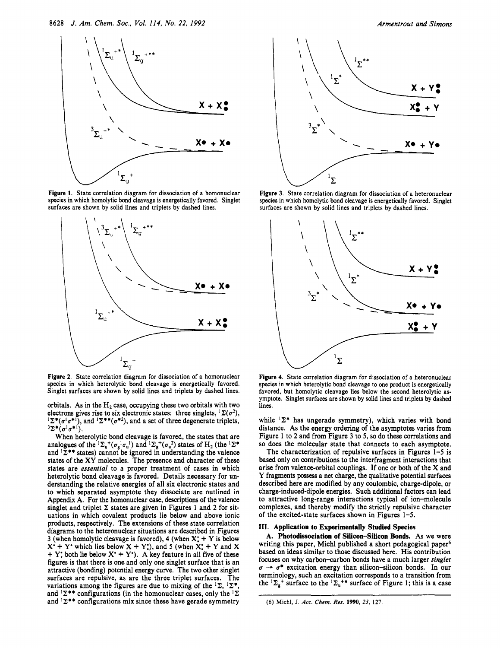

**Figure 1. State correlation diagram for dissociation of a homonuclear species in which homolytic bond cleavage is energetically favored. Singlet surfaces are shown by solid lines and triplets by dashed lines.** 



**Figure 2. State correlation diagram for dissociation of a homonuclear species in which heterolytic bond cleavage is energetically favored. Singlet surfaces are shown by solid lines and triplets by dashed lines.** 

orbitals. As in the  $H_2$  case, occupying these two orbitals with two electrons gives rise to six electronic states: three singlets, <sup>1</sup> $\Sigma(\sigma^2)$ ,  $\sum^{\bullet} (\sigma^1 \sigma^{\bullet})$ , and  $\sum^{\bullet} (\sigma^{\bullet} \sigma^{\bullet})$ , and a set of three degenerate triplets,  $^3\Sigma^*(\sigma^1\sigma^{*1}).$ 

When heterolytic bond cleavage is favored, the states that are analogues of the  ${}^{1}\Sigma_{u}{}^{+}(\sigma_{g}^{1}\sigma_{u}^{1})$  and  ${}^{1}\Sigma_{g}{}^{+}(\sigma_{u}^{2})$  states of  $H_{2}$  (the  ${}^{1}\Sigma^{*}$ and  $1\Sigma^{**}$  states) cannot be ignored in understanding the valence states of the **XY** molecules. The presence and character of these states are *essential* to a proper treatment of cases in which heterolytic bond cleavage is favored. Details necessary for **un**derstanding the relative energies of all six electronic states and to which separated asymptote they dissociate are outlined in Appendix A. For the homonuclear *case,* descriptions of the valence singlet and triplet  $\Sigma$  states are given in Figures 1 and 2 for situations in which covalent products lie below and above ionic products, respectively. The extensions of these state correlation diagrams to the heteronuclear situations are described in Figures 3 (when homolytic cleavage is favored), **4** (when **X:** + **Y** is below  $X' + Y'$  which lies below  $X + Y'$ , and 5 (when  $X' + Y$  and X  $+ Y$ : both lie below  $X^* + Y^*$ ). A key feature in all five of these figures is that there is one and only one singlet surface that is an attractive (bonding) potential energy curve. The two other singlet surfaces are repulsive, as are the three triplet surfaces. The variations among the figures are due to mixing of the  ${}^{1}\Sigma, {}^{1}\Sigma^{*}$ , and  ${}^{1}\Sigma^{**}$  configurations (in the homonuclear cases, only the  ${}^{1}\Sigma$ and  ${}^{1}\Sigma^{**}$  configurations mix since these have gerade symmetry



Figure 3. State correlation diagram for dissociation of a heteronuclear **species in which homolytic bond cleavage is energetically favored. Singlet surfaces are shown by solid lines and triplets by dashed lines.** 



**Figure 4. State correlation diagram for dissociation of a heteronuclear species in which heterolytic bond cleavage to one product is energetically favored, but homolytic cleavage lies below the second heterolytic asymptote. Singlet surfaces are shown by solid lines and triplets by dashed lines.** 

while <sup>1</sup> $\Sigma^*$  has ungerade symmetry), which varies with bond distance. As the energy ordering of the asymptotes varies from Figure 1 to **2** and from Figure 3 to *5,* so do these correlations and so does the molecular state that connects to each asymptote.

The characterization of repulsive surfaces in Figures 1-5 is based only on contributions to the interfragment interactions that arise from valence-orbital couplings. If one or both of the **X** and **Y** fragments **possess** a net charge, the qualitative potential surfaces described here are modified by any coulombic, charge-dipole, or charge-induced-dipole energies. Such additional factors can lead to attractive long-range interactions typical of ion-molecule complexes, and thereby modify the strictly repulsive character of the excited-state surfaces shown in Figures **1-5.** 

### **111. Application to Experimentally Studied Species**

**A. Photodissociation of Silicon-Silicon Bonds. As** we were writing this paper, Michl published a short pedagogical paper<sup>6</sup> based **on** ideas similar to those discussed here. His contribution focuses **on** why carbon-arbon bonds have a much larger *singlet*  $\sigma \rightarrow \sigma^*$  excitation energy than silicon-silicon bonds. In our terminology, such an excitation corresponds to a transition from the  ${}^{1}\Sigma_{g}^{+}$  surface to the  ${}^{1}\Sigma_{u}^{+*}$  surface of Figure 1; this is a case

*<sup>(6)</sup>* **Michl, J.** *Acc. Chem. Res.* **1990, 23, 127.**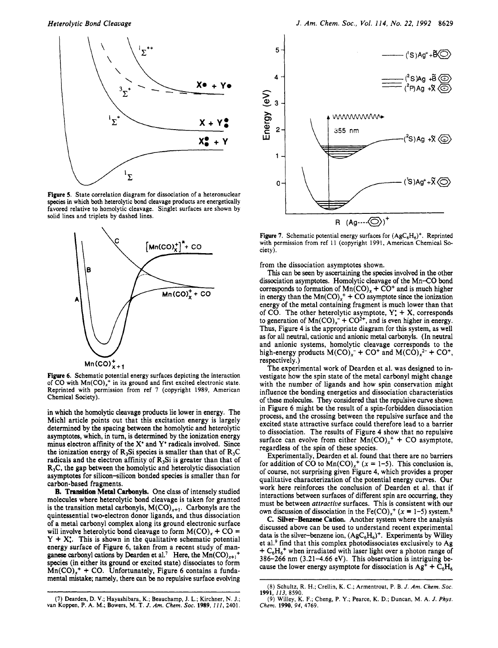

**Figure 5. State correlation diagram for dissociation of a heteronuclear species in which both heterolytic bond cleavage products are energetically favored relative to homolytic cleavage. Singlet surfaces are shown by solid lines and triplets by dashed lines.** 



**Figure 6. Schematic potential energy surfaces depicting the interaction**  of CO with  $Mn(CO)_{x}^{+}$  in its ground and first excited electronic state. **Reprinted with permission from ref 7 (copyright 1989, American Chemical Society).** 

in which the homolytic cleavage products lie lower in energy. The Michl article points out that this excitation energy is largely determined by the spacing between the homolytic and heterolytic asymptotes, which, in turn, is determined by the ionization energy minus electron affinity of the **X'** and *Y'* radicals involved. Since the ionization energy of  $R_3S$  species is smaller than that of  $R_3C$ radicals and the electron affinity of  $R_3S$ i is greater than that of R3C, the gap between the homolytic and heterolytic dissociation asymptotes for silicon-silicon bonded species is smaller than for carbon-based fragments.

**B. Tramition Metal Carbonyls.** One class of intensely studied molecules where heterolytic bond cleavage is taken for granted is the transition metal carbonyls,  $M(CO)_{x+1}$ . Carbonyls are the quintessential two-electron donor ligands, and thus dissociation **of** a metal carbonyl complex along its ground electronic surface will involve heterolytic bond cleavage to form  $M(CO)$ , + CO = *Y* + **X:.** This is shown in the qualitative schematic potential energy surface of Figure **6,** taken from a recent study of manganese carbonyl cations by Dearden et al.<sup>7</sup> Here, the  $Mn(CO)_{x+1}^+$ species (in either its ground or excited state) dissociates to form  $Mn(CO)<sub>x</sub>$ <sup>+</sup> + CO. Unfortunately, Figure 6 contains a fundamental mistake; namely, there can be no repulsive surface evolving



**Figure 7.** Schematic potential energy surfaces for  $(AgC_6H_6)^+$ . Reprinted **with permission from ref 11 (copyright 1991, American Chemical Society).** 

from the dissociation asymptotes shown.

This can be seen by ascertaining the **species** involved in the other dissociation asymptotes. Homolytic cleavage of the Mn-CO bond corresponds to formation of  $Mn(CO)$ , +  $CO^+$  and is much higher in energy than the  $Mn(CO)_x^+ + CO$  asymptote since the ionization energy of the metal containing fragment is much lower than that of CO. The other heterolytic asymptote, *Y:* + X, corresponds to generation of  $Mn(CO)<sub>x</sub><sup>-</sup>+ CO<sup>2+</sup>$ , and is even higher in energy. Thus, Figure **4** is the appropriate diagram for this system, as well as for all neutral, cationic and anionic metal carbonyls. **(In** neutral and anionic systems, homolytic cleavage corresponds to the high-energy products  $M(CO)<sub>x</sub><sup>-</sup> + CO<sup>+</sup>$  and  $M(CO)<sub>x</sub><sup>2-</sup> + CO<sup>+</sup>$ , respectively.)

The experimental work of Dearden et al. was designed to investigate how the spin state of the metal carbonyl might change with the number of ligands and how spin conservation might influence the bonding energetics and dissociation characteristics of these molecules. They considered that the repulsive curve shown in Figure **6** might be the result of a spin-forbidden dissociation process, and the crossing between the repulsive surface and the excited state attractive surface could therefore lead to a barrier to dissociation. The results of Figure **4** show that no repulsive surface can evolve from either  $Mn(CO)_{x}^{+} + CO$  asymptote, regardless of the spin of these species.

Experimentally, Dearden et al. found that there are **no** barriers for addition of CO to  $Mn(CO)<sub>x</sub>$ <sup>+</sup> (x = 1-5). This conclusion is, of course, not surprising given Figure **4,** which provides a proper qualitative characterization of the potential energy curves. Our work here reinforces the conclusion of Dearden et al. that if interactions between surfaces of different spin are occurring, they must be between *attractive* surfaces. This is consistent with our own discussion of dissociation in the  $Fe(CO)_{r}^{+}$  ( $x = 1-5$ ) system.<sup>8</sup>

**C. Silver-Benzene Cation.** Another system where the analysis discussed above can be used to understand recent experimental data is the silver-benzene ion,  $(AgC_6H_6)^+$ . Experiments by Willey et al.<sup>9</sup> find that this complex photodissociates exclusively to Ag  $\pm C_6H_6^+$  when irradiated with laser light over a photon range of **386-266** nm **(3.21-4.66** eV). This observation is intriguing because the lower energy asymptote for dissociation is  $Ag^+ + C_6H_6$ 

**<sup>(7)</sup> Dearden, D. V.; Hayashibara, K.; Beauchamp, J. L.; Kirchner, N. J.; van Koppen, P. A. M.; Bowers, M. T.** *J. Am. Chem. SOC.* **1989,111,2401.** 

**<sup>(8)</sup> Schultz, R. H.; Crellin, K. C.; Armentrout, P. B.** *J. Am. Chem. SOC.*  **1991, 113, 8590.** 

**<sup>(9)</sup> Willey, K. F.; Cheng, P.** *Y.;* **Pearce, K. D.; Duncan, M. A.** *J. Phys. Chem.* **1990,** *94,* **4169.**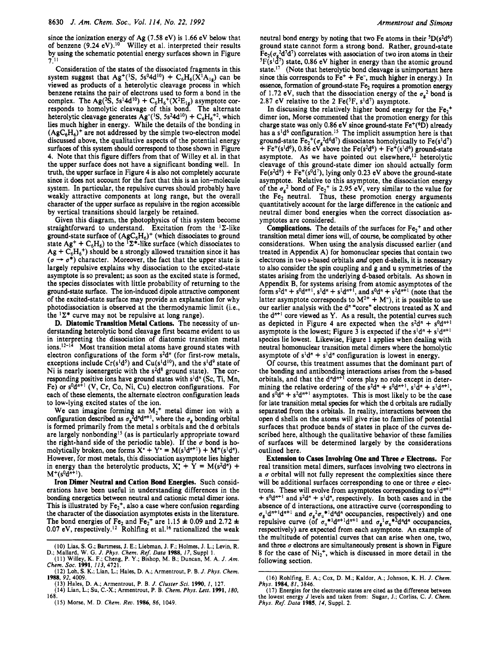since the ionization energy of Ag (7.58 eV) is 1.66 eV below that of benzene  $(9.24 \text{ eV})$ .<sup>10</sup> Willey et al. interpreted their results by using the schematic potential energy surfaces shown in Figure  $7^{11}$ 

Consideration of the states of the dissociated fragments in this system suggest that Ag<sup>+</sup>(<sup>1</sup>S, 5s<sup>0</sup>4d<sup>10</sup>) + C<sub>6</sub>H<sub>6</sub>( $\overline{X}$ <sup>1</sup>A<sub>1</sub>e) can be viewed as products of a heterolytic cleavage process in which benzene retains the pair of electrons used to form a bond in the responds to homolytic cleavage of this bond. The alternate heterolytic cleavage generates  $\text{Ag}^{-1}\text{S}$ ,  $5s^{2}4d^{10}$ ) +  $\text{C}_{6}\text{H}_{6}^{+2}$ , which lies much higher in energy. While the details of the bonding in  $(AgC_6H_6)^+$  are not addressed by the simple two-electron model discussed above, the qualitative aspects of the potential energy surfaces of this system should correspond to those shown in Figure 4. Note that this figure differs from that of Willey et al. in that the upper surface does not have a significant bonding well. **In**  truth, the upper surface in Figure 4 is also not completely accurate since it does not account for the fact that this is an ion-molecule system. **In** particular, the repulsive curves should probably have weakly attractive components at long range, but the overall character of the upper surface as repulsive in the region accessible by vertical transitions should largely be retained. complex. The Ag(<sup>2</sup>S, 5s<sup>1</sup>4d<sup>10</sup>) + C<sub>6</sub>H<sub>6</sub><sup>+</sup>(X<sup>2</sup>E<sub>1g</sub>) asymptote cor-

Given this diagram, the photophysics of this system become straightforward to understand. Excitation from the  ${}^{1}\Sigma$ -like ground-state surface of  $(AgC_6H_6)^+$  (which dissociates to ground state  $Ag^+ + C_6H_6$ ) to the ' $\Sigma^*$ -like surface (which dissociates to state Ag<sup>+</sup> + C<sub>6</sub>H<sub>6</sub>') to the '2<sup>\*</sup>-like surface (which dissociates to Ag + C<sub>6</sub>H<sub>6</sub><sup>+</sup>) should be a strongly allowed transition since it has  $(\sigma \rightarrow \sigma^* )$  character. Moreover, the fact the upper state is largely repulsive explains why dissociation to the excited-state asymptote is so prevalent; as soon as the excited state is formed, the species dissociates with little probability of returning to the ground-state surface. The ion-induced dipole attractive component of the excited-state surface may provide an explanation for why photodissociation is observed at the thermodynamic limit (i.e., the  ${}^{1}\Sigma^{*}$  curve may not be repulsive at long range).

**D. Diatomic Transition Metal Cations.** The necessity of **un**derstanding heterolytic bond cleavage first became evident to us in interpreting the dissociation of diatomic transition metal  $12-14$  Most transition metal atoms have ground states with electron configurations of the form  $s^2d^n$  (for first-row metals, exceptions include  $Cr(s^1d^5)$  and  $Cu(s^1d^{10})$ , and the s<sup>1</sup>d<sup>9</sup> state of Ni is nearly isoenergetic with the  $s^2d^8$  ground state). The corresponding positive ions have ground states with  $s<sup>1</sup>d<sup>n</sup>$  (Sc, Ti, Mn, Fe) or  $s^0d^{n+1}$  (V, Cr, Co, Ni, Cu) electron configurations. For each of these elements, the alternate electron configuration leads to low-lying excited states of the ion.

We can imagine forming an  $M_2$ <sup>+</sup> metal dimer ion with a configuration described as  $\sigma_{g}^2 d^n d^{n+1}$ , where the  $\sigma_{g}$  bonding orbital is formed primarily from the metal **s** orbitals and the d orbitals are largely nonbonding<sup>15</sup> (as is particularly appropriate toward the right-hand side of the periodic table). If the  $\sigma$  bond is homolytically broken, one forms  $X^* + Y^* = M(s^1d^{n+1}) + M^+(s^1d^n)$ . However, for most metals, this dissociation asymptote lies higher in energy than the heterolytic products,  $X^* + Y = M(s^2d^n) +$  $M^+(s^0d^{n+1}).$ 

**Iron Dimer Neutral and Cation Bond Energies.** Such considerations have been useful in understanding differences in the bonding energetics between neutral and cationic metal dimer ions. This is illustrated by  $Fe<sub>2</sub><sup>+</sup>$ , also a case where confusion regarding the character of the dissociation asymptotes exists in the literature. The bond energies of Fe<sub>2</sub> and Fe<sub>2</sub><sup>+</sup> are 1.15  $\pm$  0.09 and 2.72  $\pm$ 0.07 eV, respectively.<sup>12</sup> Rohlfing et al.<sup>16</sup> rationalized the weak neutral bond energy by noting that two Fe atoms in their  ${}^5D(s^2d^6)$ ground state cannot form a strong bond. Rather, ground-state  $Fe<sub>2</sub>(\sigma<sub>0</sub><sup>2</sup>d<sup>7</sup>d<sup>7</sup>)$  correlates with association of two iron atoms in their  ${}^{5}F(s^{1}d^{7})$  state, 0.86 eV higher in energy than the atomic ground state.<sup>17</sup> (Note that heterolytic bond cleavage is unimportant here since this corresponds to  $Fe<sup>+</sup> + Fe<sup>-</sup>$ , much higher in energy.) In essence, formation of ground-state  $Fe<sub>2</sub>$  requires a promotion energy of 1.72 eV, such that the dissociation energy of the  $\sigma_g^2$  bond is 2.87 eV relative to the 2 Fe( ${}^{5}F$ ,  $s^{1}d^{7}$ ) asymptote.

In discussing the relatively higher bond energy for the  $Fe<sub>2</sub>$ <sup>+</sup> dimer ion, Morse commented that the promotion energy for this charge state was only 0.86 eV since ground-state  $Fe^+(°D)$  already has a s<sup>1</sup>d<sup>6</sup> configuration.<sup>15</sup> The implicit assumption here is that ground-state  $Fe<sub>2</sub><sup>+</sup>(\sigma<sub>g</sub><sup>2</sup>d<sup>6</sup>d<sup>7</sup>)$  dissociates homolytically to  $Fe(s<sup>1</sup>d<sup>7</sup>)$ + Fe<sup>+</sup>(s<sup>1</sup>d<sup>6</sup>), 0.86 eV<sup>°</sup> above the Fe(s<sup>2</sup>d<sup>6</sup>) + Fe<sup>+</sup>(s<sup>1</sup>d<sup>6</sup>) ground-state asymptote. As we have pointed out elsewhere,<sup>12</sup> heterolytic cleavage of this ground-state dimer ion should actually form  $Fe(s^{2}d^{\delta}) + Fe^{+}(s^{0}d^{7})$ , lying only 0.23 eV above the ground-state asymptote. Relative to this asymptote, the dissociation energy of the  $\sigma_g^2$  bond of Fe<sub>2</sub><sup>+</sup> is 2.95 eV, very similar to the value for the Fe<sub>2</sub> neutral. Thus, these promotion energy arguments quantitatively account for the large difference in the cationic and neutral dimer bond energies when the correct dissociation asymptotes are considered.

**Complications.** The details of the surfaces for  $Fe<sub>2</sub><sup>+</sup>$  and other transition metal dimer ions will, of course, be complicated by other considerations. When using the analysis discussed earlier (and treated in Appendix A) for homonuclear species that contain two electrons in two s-based orbitals *and* open d-shells, it is necessary to also consider the spin coupling and g and u symmetries of the states arising from the underlying d-based orbitals. *As* shown in Appendix B, for systems arising from atomic asymptotes of the form  $s^2d^n + s^0d^{n+1}$ ,  $s^1d^n + s^1d^{n+1}$ , and  $s^0d^n + s^2d^{n+1}$  (note that the latter asymptote corresponds to  $M^{2+} + M^{-}$ ), it is possible to use our earlier analysis with the d<sup>n</sup> "core" electrons treated as X and the  $d^{n+1}$  core viewed as *Y*. As a result, the potential curves such as depicted in Figure 4 are expected when the  $s^2d^n + s^0d^{n+1}$ asymptote is the lowest; Figure 3 is expected if the  $s^1d^n + s^1d^{n+1}$ species lie lowest. Likewise, Figure 1 applies when dealing with neutral homonuclear transition metal dimers where the homolytic asymptote of  $s<sup>1</sup>d<sup>n</sup> + s<sup>1</sup>d<sup>n</sup>$  configuration is lowest in energy.

Of course, this treatment assumes that the dominant part of the bonding and antibonding interactions arises from the s-based orbitals, and that the d<sup>n</sup>d<sup>n+1</sup> cores play no role except in determining the relative ordering of the  $s^2d^n + s^0d^{n+1}$ ,  $s^1d^n + s^1d^{n+1}$ , and  $s^{0}d^{n} + s^{2}d^{n+1}$  asymptotes. This is most likely to be the case for late transition metal **species** for which the d orbitals are radially separated from the **s** orbitals. **In** reality, interactions between the open d shells **on** the atoms will give rise to families of potential surfaces that produce bands of states in place of the curves described here, although the qualitative behavior of these families of surfaces will be determined largely by the considerations outlined here.

**Extension to Cases Involving One and Three** *u* **Electrons.** For real transition metal dimers, surfaces involving two electrons in a  $\sigma$  orbital will not fully represent the complexities since there will be additional surfaces corresponding to one or three  $\sigma$  electrons. These will evolve from asymptotes corresponding to  $s^{\dagger}d^{n+1}$  $+ s<sup>0</sup>d<sup>n+1</sup>$  and  $s<sup>2</sup>d<sup>n</sup> + s<sup>1</sup>d<sup>n</sup>$ , respectively. In both cases and in the absence of d interactions, one attractive curve (corresponding to  $\sigma_{g}$ <sup>1</sup>d<sup>n+1</sup>d<sup>n+1</sup> and  $\sigma_{g}^{2}\sigma_{u}^{*1}$ d<sup>n</sup>d<sup>n</sup> occupancies, respectively) and one repulsive curve (of  $\sigma_{\rm u}$ \*ldn<sup>+1</sup>dn<sup>+1</sup> and  $\sigma_{\rm u}$ <sup>1</sup> $\sigma_{\rm u}$ <sup>\*2</sup>dn<sup>*n*</sup> occupancies, respectively) are expected from each asymptote. An example of the multitude of potential curves that can arise when one, two, and three  $\sigma$  electrons are simultaneously present is shown in Figure 8 for the case of  $Ni<sub>2</sub><sup>+</sup>$ , which is discussed in more detail in the following section.

**<sup>(</sup>IO)** Lias, S. **G.;** Bartmess, J. E.; Liebman, J. **F.;** Holmes, J. L.; Levin, R. (11) Willey, K. F.; Cheng, P. **Y.;** Bishop, M. B.; Duncan, M. A. *J.* Am. D.; Mallard, W. G. *J. Phys. Chem. Re\$ Data* **1988,** *17,* Suppl **1.** 

*Chem. Soc.* **1991, 113,4721.** 

**<sup>(12)</sup>** Loh, **S.** K.; Lian, L.; Hales, D. A,; Armentrout, P. B. *J. Phys. Chem.*  **1988, 92,4009.** 

**<sup>(13)</sup>** Hales, D. **A.;** Armentrout, P. B. *J. Cluster Sci.* **1990,** *I,* **127. (14)** Lian, L.; Su, C.-X.; Armentrout, P. B. *Chem. Phys. Lett.* **1991, 180,** 

**<sup>(16)</sup>** Rohlfing, E. A.; Cox, D. M.; Kaldor, A,; Johnson, K. H. *J. Chem. Phys.* **1984,81, 3846.** 

**<sup>(1 7)</sup>** Energies for the electronic states are cited as the difference **between**  the lowest energy J levels and taken from: Sugar, J.; Corliss, C. *J.* Chem. *Phys. Ref. Data* **1985,** *14,* Suppl. **2.**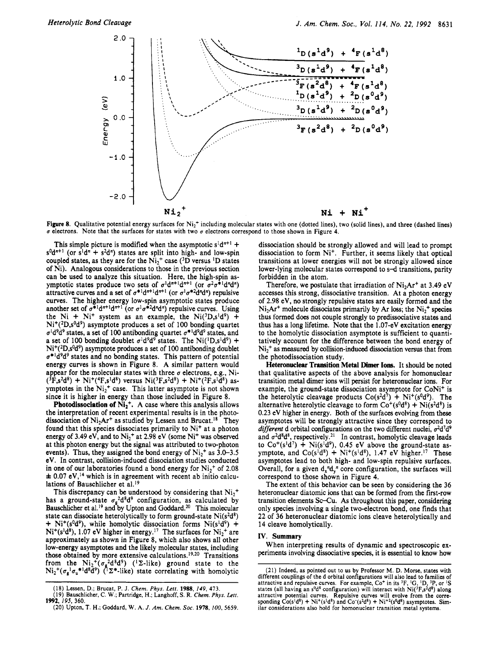

Figure 8. Qualitative potential energy surfaces for Ni<sub>2</sub><sup>+</sup> including molecular states with one (dotted lines), two (solid lines), and three (dashed lines) *u* electrons. Note that the surfaces for states with two *u* electrons correspond to those shown in Figure **4.** 

This simple picture is modified when the asymptotic  $s^1d^{n+1}$  +  $s^{0}d^{n+1}$  (or  $s^{1}d^{n} + s^{2}d^{n}$ ) states are split into high- and low-spin coupled states, as they are for the  $Ni<sub>2</sub><sup>+</sup>$  case (<sup>3</sup>D versus <sup>1</sup>D states of Ni). Analogous considerations to those in the previous section can be used to analyze this situation. Here, the high-spin asymptotic states produce two sets of  $\sigma^1 d^{n+1} d^{n+1}$  (or  $\sigma^2 \sigma^{*1} d^n d^n$ ) attractive curves and a set of  $\sigma^{*1}d^{n+1}d^{n+1}$  (or  $\sigma^1\sigma^{*2}d^n d^n$ ) repulsive curves. The higher energy low-spin asymptotic states produce another set of  $\sigma^{*1}d^{n+1}d^{n+1}$  (or  $\sigma^1\sigma^{*2}d^n d^n$ ) repulsive curves. Using the Ni + Ni<sup>+</sup> system as an example, the Ni( ${}^{3}D, s {}^{1}d^{9}$ ) +  $Ni^+(2D,s^0d^9)$  asymptote produces a set of 100 bonding quartet  $\sigma$ <sup>1</sup>d<sup>9</sup>d<sup>9</sup> states, a set of 100 antibonding quartet  $\sigma$ <sup>\*1</sup>d<sup>9</sup>d<sup>9</sup> states, and a set of 100 bonding doublet  $\sigma^1 d^9 d^9$  states. The Ni(<sup>1</sup>D,s<sup>1</sup>d<sup>9</sup>) +  $Ni^+(2D,s^0d^9)$  asymptote produces a set of 100 antibonding doublet  $\sigma^*$ <sup>1</sup>d<sup>9</sup>d<sup>9</sup> states and no bonding states. This pattern of potential energy curves is shown in Figure 8. A similar pattern would appear for the molecular states with three  $\sigma$  electrons, e.g., Ni- $({}^{3}F_{5}^{2}d^{8})$  + Ni<sup>+</sup>(<sup>4</sup>F<sub>5</sub><sup>1</sup>d<sup>8</sup>) versus Ni(<sup>3</sup>F<sub>5</sub><sup>2</sup>d<sup>8</sup>) + Ni<sup>+</sup>(<sup>2</sup>F<sub>5</sub><sup>1</sup>d<sup>8</sup>) asymptotes in the  $Ni<sub>2</sub><sup>+</sup>$  case. This latter asymptote is not shown since it is higher in energy than those included in Figure 8.

**Photodissociation of Ni<sub>2</sub><sup>+</sup>. A case where this analysis allows** the interpretation of recent experimental results is in the photodissociation of  $Ni<sub>2</sub>Ar<sup>+</sup>$  as studied by Lessen and Brucat.<sup>18</sup> They found that this species dissociates primarily to Ni<sup>+</sup> at a photon energy of 3.49 eV, and to  $Ni<sub>2</sub><sup>+</sup>$  at 2.98 eV (some Ni<sup>+</sup> was observed at this photon energy but the signal was attributed to two-photon events). Thus, they assigned the bond energy of  $Ni<sub>2</sub><sup>+</sup>$  as 3.0–3.5 eV. **In** contrast, collision-induced dissociation studies conducted in one of our laboratories found a bond energy for  $Ni<sub>2</sub><sup>+</sup>$  of 2.08  $\pm$  0.07 eV,<sup>14</sup> which is in agreement with recent ab initio calculations of Bauschlicher et al.<sup>19</sup>

This discrepancy can be understood by considering that  $Ni<sub>2</sub>$ <sup>+</sup> has a ground-state  $\sigma_{\alpha}^2 d^8 d^9$  configuration, as calculated by Bauschlicher et al.<sup>19</sup> and by Upton and Goddard.<sup>20</sup> This molecular state can dissociate heterolytically to form ground-state  $Ni(s^2d^8)$ + Ni<sup>+</sup>(s<sup>0</sup>d<sup>9</sup>), while homolytic dissociation forms Ni(s<sup>1</sup>d<sup>9</sup>) +  $Ni^+(s^1d^8)$ , 1.07 eV higher in energy.<sup>17</sup> The surfaces for  $Ni_2^+$  are approximately as shown in Figure 8, which also shows all other low-energy asymptotes and the likely molecular states, including those obtained by more extensive calculations.<sup>19,20</sup> Transitions from the  $\text{Ni}_2{}^+(\sigma_g^2d^8d^9)$  (<sup>1</sup> $\Sigma$ -like) ground state to the  $\text{Ni}_2^+(\sigma_g^1\sigma_u^{*1}d^8d^9)$  (<sup>1</sup> $\Sigma^*$ -like) state correlating with homolytic

dissociation should be strongly allowed and will lead to prompt dissociation to form Ni<sup>+</sup>. Further, it seems likely that optical transitions at lower energies will not be strongly allowed since lower-lying molecular states correspond to **s-d** transitions, parity forbidden in the atom.

Therefore, we postulate that irradiation of  $Ni<sub>2</sub>Ar<sup>+</sup>$  at 3.49 eV accesses this strong, dissociative transition. At a photon energy of 2.98 eV, **no** strongly repulsive states are easily formed and the Ni<sub>2</sub>Ar<sup>+</sup> molecule dissociates primarily by Ar loss; the Ni<sub>2</sub><sup>+</sup> species thus formed does not couple strongly to predissociative states and thus has a long lifetime. Note that the 1.07-eV excitation energy to the homolytic dissociation asymptote is sufficient to quantitatively account for the difference between the bond energy of Ni2+ **as** measured by collision-induced dissociation versus that from the photodissociation study.

**Heteronuclear Transition Metal Dimer Ions.** It should be noted that qualitative aspects of the above analysis for homonuclear transition metal dimer ions will persist for heteronuclear ions. For example, the ground-state dissociation asymptote for CoNi<sup>+</sup> is the heterolytic cleavage products  $Co(s^2d^7) + Ni^+(s^0d^9)$ . The alternative heterolytic cleavage to form  $\text{Co}^{+}(s^{0}d^{8}) + \text{Ni}(s^{2}d^{8})$  is 0.23 eV higher in energy. Both of the surfaces evolving from these asymptotes will be strongly attractive since they correspond to *different* d orbital configurations on the two different nuclei,  $\sigma^2 d^7 d^9$ and  $\sigma^2 d^8 d^8$ , respectively.<sup>21</sup> In contrast, homolytic cleavage leads to  $\text{Co}^{+}(s^{1}d^{7})$  + Ni( $s^{1}d^{9}$ ), 0.45 eV above the ground-state asymptote, and  $Co(s^1d^8) + Ni^+(s^1d^8)$ , 1.47 eV higher.<sup>17</sup> These asymptotes lead to both high- and low-spin repulsive surfaces. Overall, for a given  $d_x^{\prime\prime}d_x^{\prime\prime}$  core configuration, the surfaces will correspond to those shown in Figure 4.

The extent of this behavior can be seen by considering the 36 heteronuclear diatomic ions that **can** be formed from the first-row transition elements **Sc-Cu. As** throughout this paper, considering only species involving a single two-electron bond, one finds that 22 of 36 heteronuclear diatomic ions cleave heterolytically and 14 cleave homolytically.

### **IV. Summary**

When interpreting results of dynamic and spectroscopic experiments involving dissociative species, it is essential to know how

<sup>(18)</sup> Lessen, D.; Brucat, P. J. *Chem.* Phys. *Letr.* **1988,** *149,* **473.** 

**<sup>(19)</sup>** Bauschlicher, **C. W.;** Partridge, H.; Langhoff, *S.* R. *Chem.* Phys. *Lett.*  **(20)** Upton, T. H.; Goddard, **W. A.** *J. Am. Chem. SOC.* **1978,100,5659. 1992,** *195,* **360.** 

<sup>(21)</sup> Indeed, as pointed out to **us** by Professor M. D. Morse, states with different couplings of the d orbital configurations will also lead to families of attractive and repulsive curves. For example, *Co+* in its 3F, 'G, **'D,** 'P, or **IS**  states (all having an s<sup>o</sup>d<sup>8</sup> configuration) will interact with Ni( ${}^{3}F$ ,s<sup>2</sup>d<sup>8</sup>) along attractive potential curves. Repulsive curves will evolve from the corre-sponding Co(s<sup>1</sup>d<sup>8</sup>) + Ni<sup>+</sup>(s<sup>1</sup>d<sup>8</sup>) and Co<sup>-</sup>(s<sup>2</sup>d<sup>8</sup>) + Ni<sup>+2</sup>(s<sup>0</sup>d<sup>8</sup>) asymptotes. Similar considerations also hold for homonuclear transition metal systems.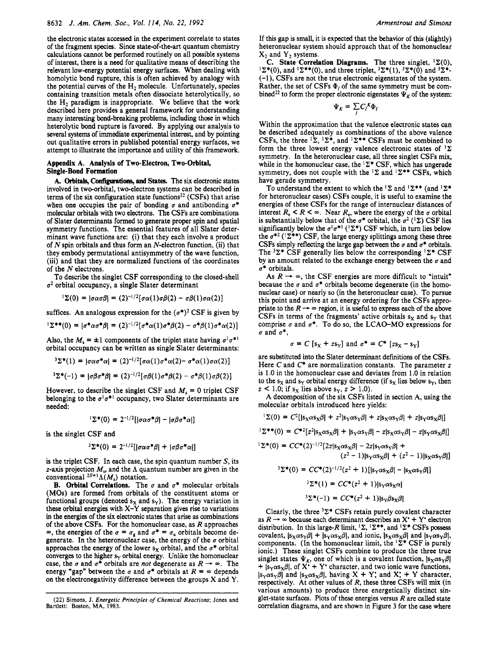the electronic states accessed in the experiment correlate to states of the fragment species. Since state-of-the-art quantum chemistry calculations cannot be performed routinely on all possible systems of interest, there is a **need** for qualitative means of describing the relevant low-energy potential energy surfaces. When dealing with homolytic bond rupture, this is often achieved by analogy with the potential curves of the H<sub>2</sub> molecule. Unfortunately, species containing transition metals often dissociate heterolytically, so the H<sub>2</sub> paradigm is inappropriate. We believe that the work described here provides a general framework for understanding many interesting bond-breaking problems, including those in which heterolytic bond rupture is favored. By applying our analysis to several systems of immediate experimental interest, and by pointing out qualitative errors in published potential energy surfaces, we attempt to illustrate the importance and utility of this framework.

### **Appendix A. Analysis of Two-Electron, Two-Orbital, Single-Bond Formation**

A. Orbitals, Configurations, and States. The six electronic states involved in two-orbital, two-electron systems can be described in terms of the six configuration state functions<sup>22</sup> (CSFs) that arise when one occupies the pair of bonding  $\sigma$  and antibonding  $\sigma^*$ molecular orbitals with two electrons. The **CSFs** are combinations of Slater determinants formed to generate proper spin and spatial symmetry functions. The essential features of all Slater determinant wave functions are: (i) that they each involve a product of  $N$  spin orbitals and thus form an  $N$ -electron function, (ii) that they embody permutational antisymmetry of the wave function, (iii) and that they are normalized functions of the coordinates of the N electrons.

To describe the singlet **CSF** corresponding to the closed-shell  $\sigma^2$  orbital occupancy, a single Slater determinant

$$
{}^{1}\Sigma(0) = |\sigma\alpha\sigma\beta| = (2)^{-1/2} [\sigma\alpha(1)\sigma\beta(2) - \sigma\beta(1)\sigma\alpha(2)]
$$

suffices. An analogous expression for the  $(\sigma^*)^2$  CSF is given by

$$
{}^{1}\Sigma^{**}(0) = |\sigma^{*}\alpha\sigma^{*}\beta| = (2)^{-1/2}[\sigma^{*}\alpha(1)\sigma^{*}\beta(2) - \sigma^{*}\beta(1)\sigma^{*}\alpha(2)]
$$

Also, the  $M_s = \pm 1$  components of the triplet state having  $\sigma^1 \sigma^{*1}$ orbital occupancy can be written as single Slater determinants:

$$
{}^{3}\Sigma^{*}(1) = |\sigma\alpha\sigma^{*}\alpha| = (2)^{-1/2}[\sigma\alpha(1)\sigma^{*}\alpha(2) - \sigma^{*}\alpha(1)\sigma\alpha(2)]
$$
  

$$
{}^{3}\Sigma^{*}(1) = |\sigma\alpha^{*}\alpha| = (2)^{-1/2}[\sigma\alpha(1) - \pi\alpha(2)]
$$

$$
\delta \Sigma^*(-1) = |\sigma \beta \sigma^* \beta| = (2)^{-1/2} [\sigma \beta(1) \sigma^* \beta(2) - \sigma^* \beta(1) \sigma \beta(2)]
$$

However, to describe the singlet CSF and  $M_s = 0$  triplet CSF belonging to the  $\sigma^1 \sigma^{*1}$  occupancy, two Slater determinants are needed:

$$
{}^{1}\Sigma^{*}(0) = 2^{-1/2}[|\sigma\alpha\sigma^{*}\beta| - |\sigma\beta\sigma^{*}\alpha|]
$$

is the singlet **CSF** and

$$
{}^{3}\Sigma^{*}(0) = 2^{-1/2} [|\sigma \alpha \sigma^{*} \beta| + |\sigma \beta \sigma^{*} \alpha|]
$$

is the triplet **CSF.** In each case, the spin quantum number S, its z-axis projection *M,,* and the **A** quantum number are given in the conventional  ${}^{2S+1}\Lambda(M_s)$  notation.

**B.** Orbital Correlations. The  $\sigma$  and  $\sigma^*$  molecular orbitals **(MOs)** are formed from orbitals of the constituent atoms or functional groups (denoted  $s_X$  and  $s_Y$ ). The energy variation in these orbital energies with **X-Y** separation gives rise to variations in the energies of the six electronic states that arise as combinations of the above **CSFs.** For the homonuclear case, as R approaches  $\infty$ , the energies of the  $\sigma = \sigma_g$  and  $\sigma^* = \sigma_u$  orbitals become degenerate. In the heteronuclear case, the energy of the  $\sigma$  orbital approaches the energy of the lower  $s_x$  orbital, and the  $\sigma^*$  orbital converges to the higher **sy** orbital energy. Unlike the homonuclear case, the  $\sigma$  and  $\sigma^*$  orbitals are *not* degenerate as  $R \rightarrow \infty$ . The energy "gap" between the  $\sigma$  and  $\sigma^*$  orbitals at  $R = \infty$  depends **on** the electronegativity difference between the groups **X** and **Y.**  If this gap is small, it is expected that the behavior of this (slightly) heteronuclear system should approach that of the homonuclear  $X_2$  and  $Y_2$  systems.

**C.** State Correlation Diagrams. The three singlet,  ${}^{1}\Sigma(0)$ ,  $\mathbb{E}^*(0)$ , and  $\mathbb{E}^*(0)$ , and three triplet,  $\mathbb{E}^*(1)$ ,  $\mathbb{E}^*(0)$  and  $\mathbb{E}^*(0)$ **(-1), CSFs** are not the true electronic eigenstates of the system. Rather, the set of CSFs  $\Phi_t$  of the same symmetry must be combined<sup>22</sup> to form the proper electronic eigenstates  $\Psi_K$  of the system:

$$
\Psi_K=\sum_{I}C_{I}^{\phantom{I}K}\Phi_I
$$

Within the approximation that the valence electronic states can be described adequately as combinations of the above valence CSFs, the three  ${}^{1}\Sigma$ ,  ${}^{1}\Sigma^{*}$ , and  ${}^{1}\Sigma^{**}$  CSFs must be combined to form the three lowest energy valence electronic states of  ${}^{1}\Sigma$ symmetry. In the heteronuclear case, all three singlet **CSFs** mix, while in the homonuclear case, the  ${}^{1}\Sigma^{*}$  CSF, which has ungerade symmetry, does not couple with the  ${}^{1}\Sigma$  and  ${}^{1}\Sigma^{**}$  CSFs, which have gerade symmetry.

To understand the extent to which the  ${}^{1}\Sigma$  and  ${}^{1}\Sigma^{**}$  (and  ${}^{1}\Sigma^{*}$ for heteronuclear cases) **CSFs** couple, it is useful to examine the energies of these **CSFs** for the range of internuclear distances of interest  $R_e < R < \infty$ . Near  $R_e$ , where the energy of the  $\sigma$  orbital is substantially below that of the  $\sigma^*$  orbital, the  $\sigma^2$  (<sup>1</sup> $\Sigma$ ) CSF lies significantly below the  $\sigma^1 \sigma^{*1}$  (<sup>1</sup> $\Sigma^*$ ) CSF which, in turn lies below the  $\sigma^{*2}$  ( ${}^{1}\Sigma^{**}$ ) CSF, the large energy splittings among these three CSFs simply reflecting the large gap between the  $\sigma$  and  $\sigma^*$  orbitals. The  ${}^{3}\Sigma^{*}$  CSF generally lies below the corresponding  ${}^{1}\Sigma^{*}$  CSF by an amount related to the exchange energy between the  $\sigma$  and *u\** orbitals.

As  $R \rightarrow \infty$ , the CSF energies are more difficult to "intuit" because the  $\sigma$  and  $\sigma^*$  orbitals become degenerate (in the homonuclear case) or nearly so (in the heteronuclear case). To pursue this point and arrive at an energy ordering for the **CSFs** appronuclear case) or nearly so (in the heteronuclear case). To pursue<br>this point and arrive at an energy ordering for the CSFs appro-<br>priate to the  $R \rightarrow \infty$  region, it is useful to express each of the above<br>CSEs in terms of t CSFs in terms of the fragments' active orbitals  $s<sub>x</sub>$  and  $s<sub>y</sub>$  that comprise  $\sigma$  and  $\sigma^*$ . To do so, the LCAO-MO expressions for  $\sigma$  and  $\sigma^*$ ,

$$
\sigma = C
$$
 [s<sub>X</sub> + zs<sub>Y</sub>] and  $\sigma^* = C^*$  [zs<sub>X</sub> - s<sub>Y</sub>]

are substituted into the Slater determinant definitions of the **CSFs.**  Here *C* and *C*<sup>\*</sup> are normalization constants. The parameter *z* is 1.0 in the homonuclear case and deviates from 1.0 in relation to the  $s_X$  and  $s_Y$  orbital energy difference (if  $s_X$  lies below  $s_Y$ , then  $z < 1.0$ ; if  $s_X$  lies above  $s_Y$ ,  $z > 1.0$ ).

**A** decomposition of the six **CSFs** listed in section A, using the molecular orbitals introduced here yields:

$$
{}^{1}\Sigma(0) = C^{2}[|s_{X}\alpha s_{X}\beta| + z^{2}|s_{Y}\alpha s_{Y}\beta| + z|s_{X}\alpha s_{Y}\beta| + z|s_{Y}\alpha s_{X}\beta|]
$$

 $I\Sigma^{**}(0) = C^{*2}[z^2|s_X\alpha s_X\beta| + |s_Y\alpha s_Y\beta| - z|s_X\alpha s_Y\beta| - z|s_Y\alpha s_X\beta|]$ 

 ${}^{1}\Sigma^{*}(0) = CC^{*}(2)^{-1/2}[2z|s_{X}\alpha s_{X}\beta] - 2z|s_{Y}\alpha s_{Y}\beta] +$  $(z^2 - 1)$ ls $\cos\theta$ l +  $(z^2 - 1)$ ls $\cos\theta$ l

$$
(z^{2} - 1)|s_{\gamma}\alpha s_{\chi}\beta| + (z^{2} - 1)|s_{\chi}\alpha s_{\gamma}\beta|
$$

$$
\Sigma^*(0) = CC^*(2)^{-1/2}(z^2 + 1)[[s_Y \alpha s_X \beta] - [s_X \alpha s_Y \beta]]
$$
  

$$
{}^{3}\Sigma^*(1) = CC^*(z^2 + 1)[s_Y \alpha s_X \alpha]
$$

$$
{}^{3}\Sigma^*(-1) = CC^*(z^2+1)|s_Y\beta s_X\beta|
$$

Clearly, the three  ${}^{3}\Sigma^{*}$  CSFs retain purely covalent character as  $R \rightarrow \infty$  because each determinant describes an  $X^* + Y^*$  electron distribution. In this large-R limit,  ${}^{1}\Sigma$ ,  ${}^{1}\Sigma^{**}$ , and  ${}^{1}\Sigma^{*}$  CSFs possess covalent,  $|s_X \alpha s_Y \beta| + |s_Y \alpha s_X \beta|$ , and ionic,  $|s_X \alpha s_X \beta|$  and  $|s_Y \alpha s_Y \beta|$ , components. (In the homonuclear limit, the  $\frac{1}{2}$ \* CSF is purely ionic.) These singlet **CSFs** combine to produce the three true singlet states  $\Psi_K$ , one of which is a covalent function,  $|s_X \alpha s_Y \beta|$  $+$   $|s_Y \alpha s_X \beta|$ , of  $X^* + Y^*$  character, and two ionic wave functions,  $|s_Y \alpha s_Y \beta|$  and  $|s_X \alpha s_X \beta|$ , having  $X + Y$ ; and  $X' + Y$  character, respectively. At other values of R, these three **CSFs** will mix (in various amounts) to produce three energetically distinct singlet-state surfaces. Plots of these energies versus  $R$  are called state correlation diagrams, and are shown in Figure **3** for the case where

**<sup>(22)</sup> Simons, J.** *Energetic Principles of Chemical Reactions;* **Jones and Bartlett: Boston, MA, 1983.**